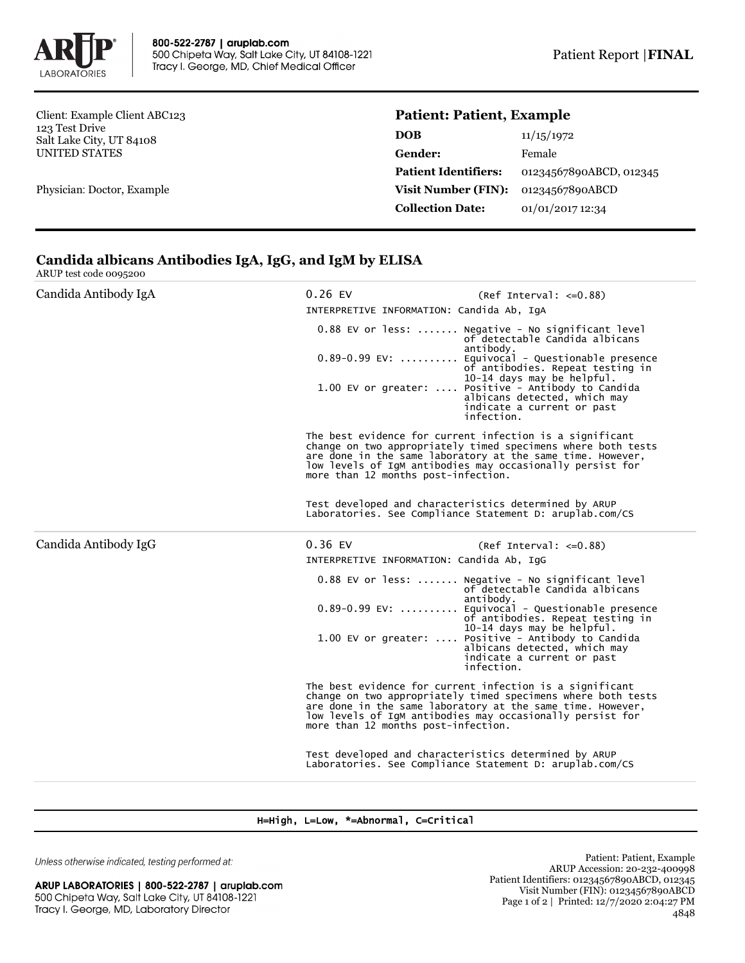

Client: Example Client ABC123 123 Test Drive Salt Lake City, UT 84108 UNITED STATES

Physician: Doctor, Example

## **Patient: Patient, Example**

| DOB                         | 11/15/1972              |
|-----------------------------|-------------------------|
| Gender:                     | Female                  |
| <b>Patient Identifiers:</b> | 01234567890ABCD, 012345 |
| <b>Visit Number (FIN):</b>  | 01234567890ABCD         |
| <b>Collection Date:</b>     | 01/01/2017 12:34        |

## **Candida albicans Antibodies IgA, IgG, and IgM by ELISA**

ARUP test code 0095200

| Candida Antibody IgA | $0.26$ EV<br>$(Ref Interval: < =0.88)$<br>INTERPRETIVE INFORMATION: Candida Ab, IqA                                                                                                                                                                                                        |                                                                                                                                                                                                                                                                                                                                                           |  |  |
|----------------------|--------------------------------------------------------------------------------------------------------------------------------------------------------------------------------------------------------------------------------------------------------------------------------------------|-----------------------------------------------------------------------------------------------------------------------------------------------------------------------------------------------------------------------------------------------------------------------------------------------------------------------------------------------------------|--|--|
|                      |                                                                                                                                                                                                                                                                                            | 0.88 EV or less:  Negative - No significant level<br>of detectable Candida albicans<br>antibody.<br>0.89-0.99 EV:  Equivocal - Questionable presence<br>of antibodies. Repeat testing in<br>10-14 days may be helpful.<br>1.00 EV or greater:  Positive - Antibody to Candida<br>albicans detected, which may<br>indicate a current or past<br>infection. |  |  |
|                      | The best evidence for current infection is a significant<br>change on two appropriately timed specimens where both tests<br>are done in the same laboratory at the same time. However,<br>low levels of IgM antibodies may occasionally persist for<br>more than 12 months post-infection. |                                                                                                                                                                                                                                                                                                                                                           |  |  |
|                      | Test developed and characteristics determined by ARUP<br>Laboratories. See Compliance Statement D: aruplab.com/CS                                                                                                                                                                          |                                                                                                                                                                                                                                                                                                                                                           |  |  |
| Candida Antibody IgG | $0.36$ EV                                                                                                                                                                                                                                                                                  | $(Ref Interval: < =0.88)$                                                                                                                                                                                                                                                                                                                                 |  |  |
|                      | INTERPRETIVE INFORMATION: Candida Ab, IqG                                                                                                                                                                                                                                                  |                                                                                                                                                                                                                                                                                                                                                           |  |  |
|                      |                                                                                                                                                                                                                                                                                            | 0.88 EV or less:  Negative - No significant level<br>of detectable Candida albicans<br>antibody.<br>0.89-0.99 EV:  Equivocal - Questionable presence<br>of antibodies. Repeat testing in                                                                                                                                                                  |  |  |
|                      |                                                                                                                                                                                                                                                                                            | 10-14 days may be helpful.<br>1.00 EV or greater:  Positive - Antibody to Candida<br>albicans detected, which may<br>indicate a current or past<br>infection.                                                                                                                                                                                             |  |  |
|                      | The best evidence for current infection is a significant<br>change on two appropriately timed specimens where both tests<br>are done in the same laboratory at the same time. However,<br>low levels of IgM antibodies may occasionally persist for<br>more than 12 months post-infection. |                                                                                                                                                                                                                                                                                                                                                           |  |  |
|                      | Test developed and characteristics determined by ARUP<br>Laboratories. See Compliance Statement D: aruplab.com/CS                                                                                                                                                                          |                                                                                                                                                                                                                                                                                                                                                           |  |  |

## H=High, L=Low, \*=Abnormal, C=Critical

Unless otherwise indicated, testing performed at:

ARUP LABORATORIES | 800-522-2787 | aruplab.com 500 Chipeta Way, Salt Lake City, UT 84108-1221 Tracy I. George, MD, Laboratory Director

Patient: Patient, Example ARUP Accession: 20-232-400998 Patient Identifiers: 01234567890ABCD, 012345 Visit Number (FIN): 01234567890ABCD Page 1 of 2 | Printed: 12/7/2020 2:04:27 PM 4848